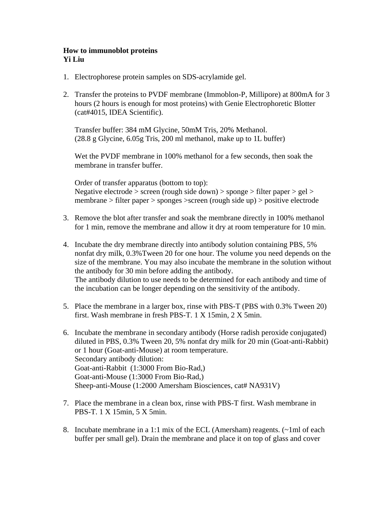## **How to immunoblot proteins Yi Liu**

- 1. Electrophorese protein samples on SDS-acrylamide gel.
- 2. Transfer the proteins to PVDF membrane (Immoblon-P, Millipore) at 800mA for 3 hours (2 hours is enough for most proteins) with Genie Electrophoretic Blotter (cat#4015, IDEA Scientific).

Transfer buffer: 384 mM Glycine, 50mM Tris, 20% Methanol. (28.8 g Glycine, 6.05g Tris, 200 ml methanol, make up to 1L buffer)

Wet the PVDF membrane in 100% methanol for a few seconds, then soak the membrane in transfer buffer.

Order of transfer apparatus (bottom to top): Negative electrode > screen (rough side down) > sponge > filter paper > gel > membrane > filter paper > sponges >screen (rough side up) > positive electrode

- 3. Remove the blot after transfer and soak the membrane directly in 100% methanol for 1 min, remove the membrane and allow it dry at room temperature for 10 min.
- 4. Incubate the dry membrane directly into antibody solution containing PBS, 5% nonfat dry milk, 0.3%Tween 20 for one hour. The volume you need depends on the size of the membrane. You may also incubate the membrane in the solution without the antibody for 30 min before adding the antibody. The antibody dilution to use needs to be determined for each antibody and time of the incubation can be longer depending on the sensitivity of the antibody.
- 5. Place the membrane in a larger box, rinse with PBS-T (PBS with 0.3% Tween 20) first. Wash membrane in fresh PBS-T. 1 X 15min, 2 X 5min.
- 6. Incubate the membrane in secondary antibody (Horse radish peroxide conjugated) diluted in PBS, 0.3% Tween 20, 5% nonfat dry milk for 20 min (Goat-anti-Rabbit) or 1 hour (Goat-anti-Mouse) at room temperature. Secondary antibody dilution: Goat-anti-Rabbit (1:3000 From Bio-Rad,) Goat-anti-Mouse (1:3000 From Bio-Rad,) Sheep-anti-Mouse (1:2000 Amersham Biosciences, cat# NA931V)
- 7. Place the membrane in a clean box, rinse with PBS-T first. Wash membrane in PBS-T. 1 X 15min, 5 X 5min.
- 8. Incubate membrane in a 1:1 mix of the ECL (Amersham) reagents.  $(\sim 1 \text{ ml of each})$ buffer per small gel). Drain the membrane and place it on top of glass and cover